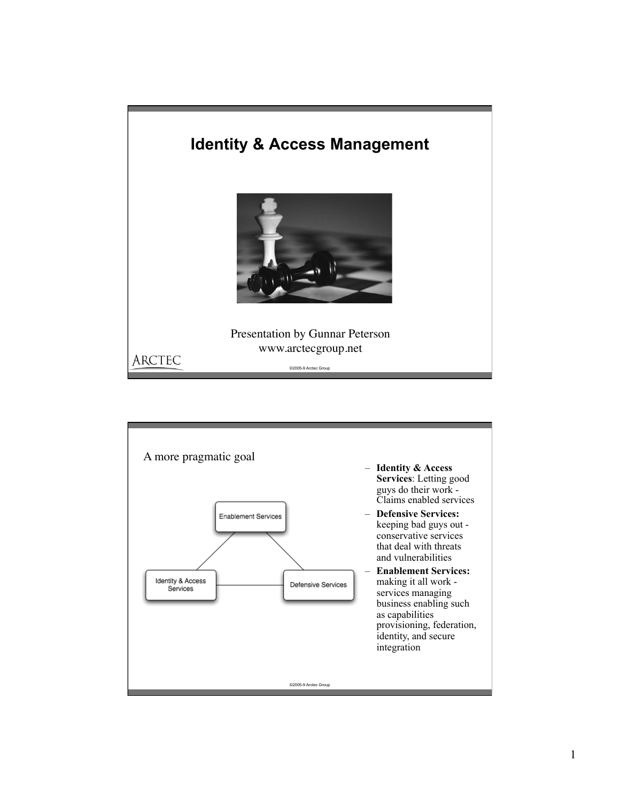

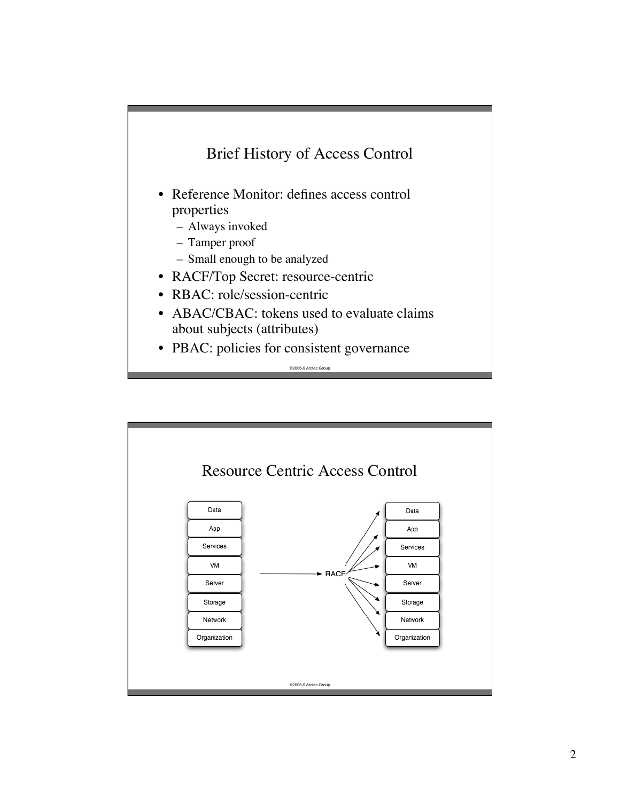

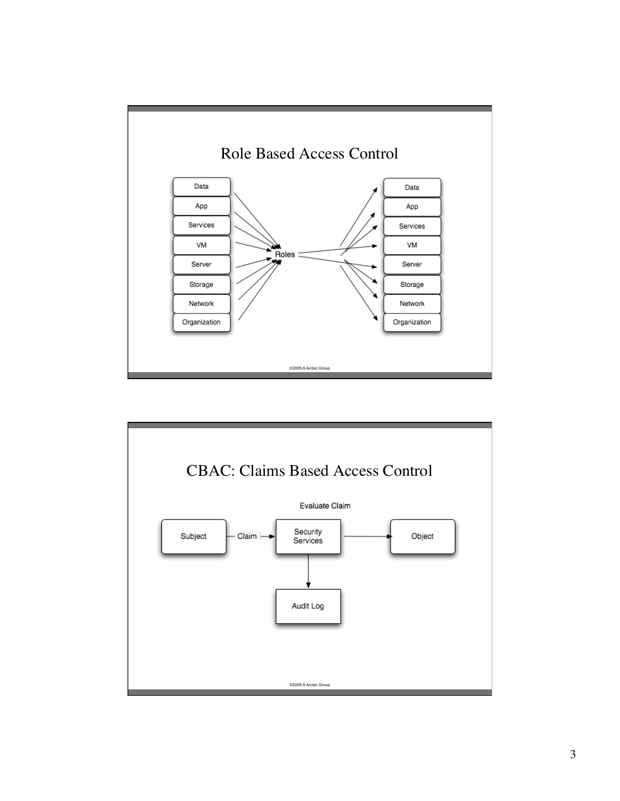

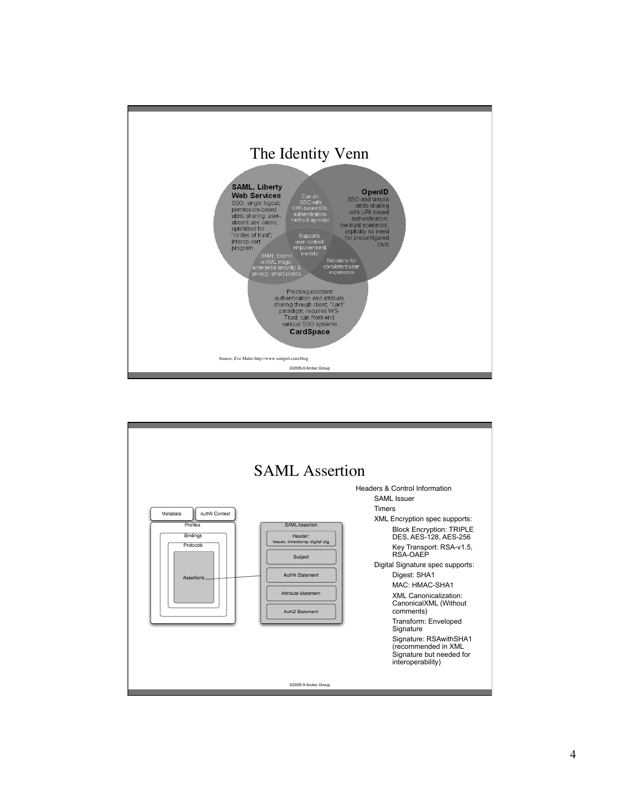

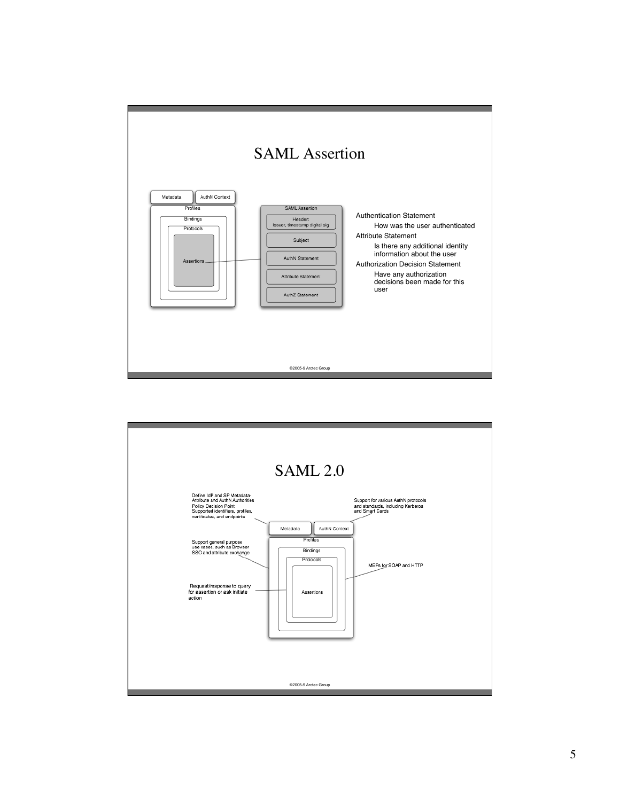

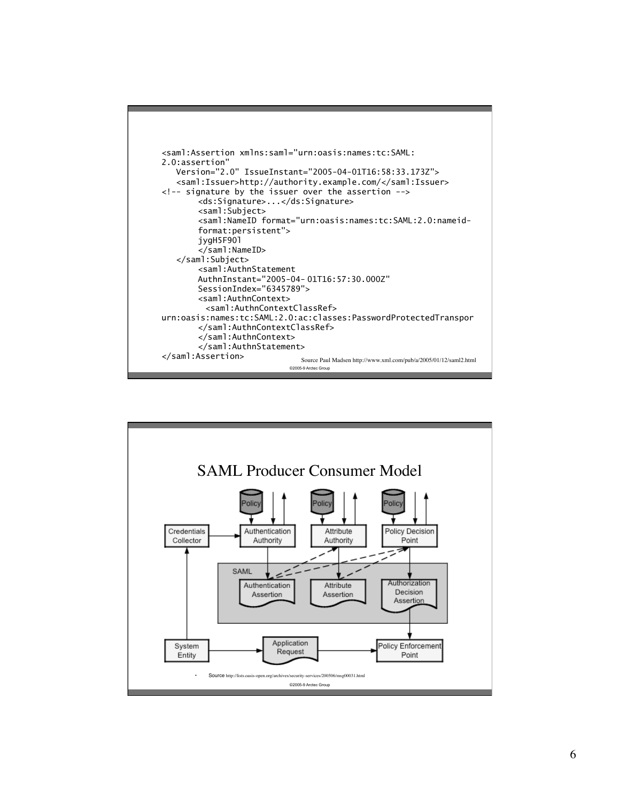

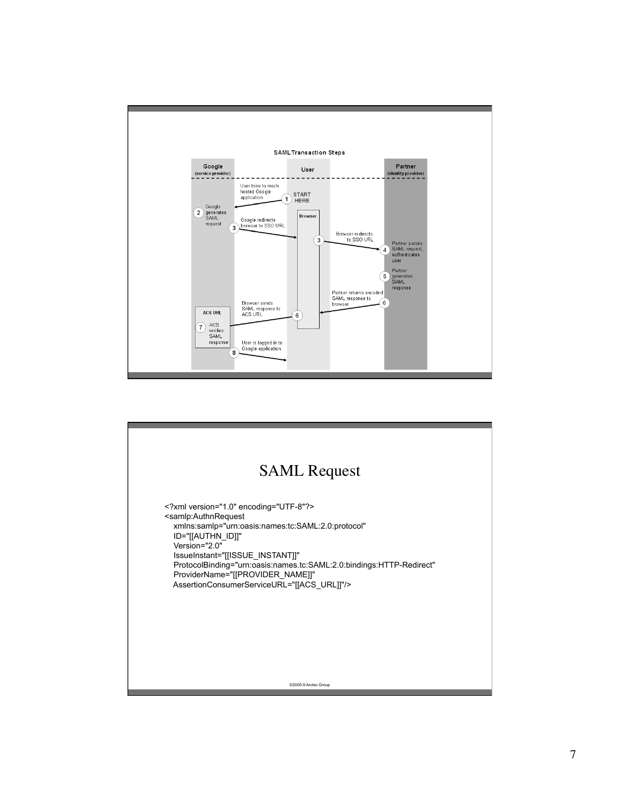

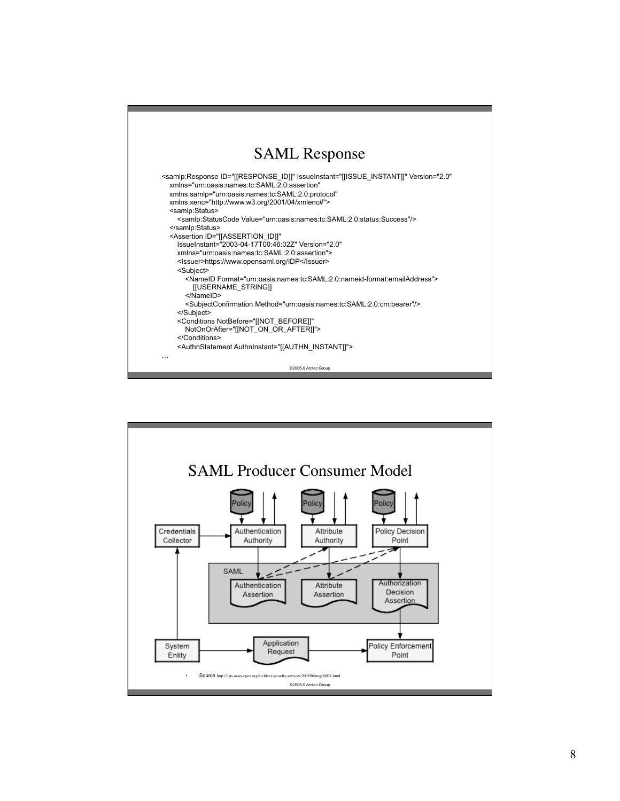

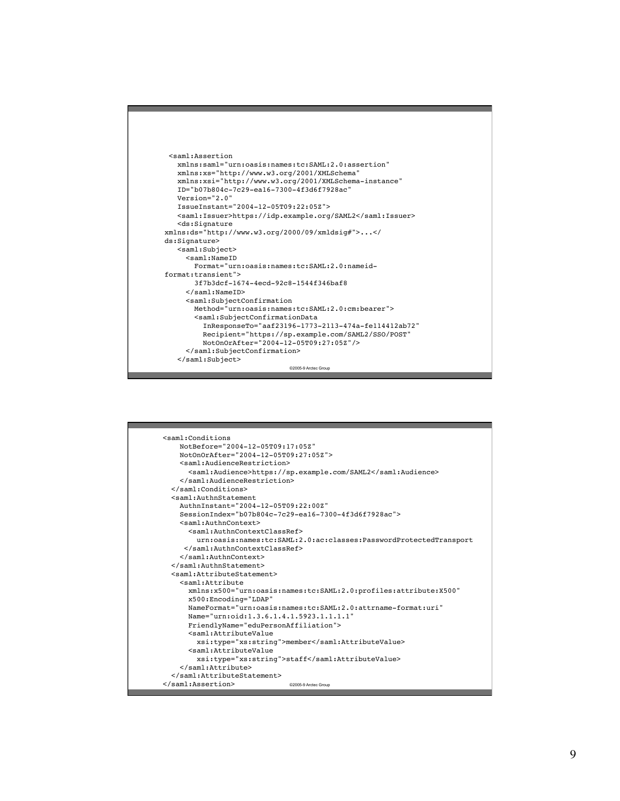

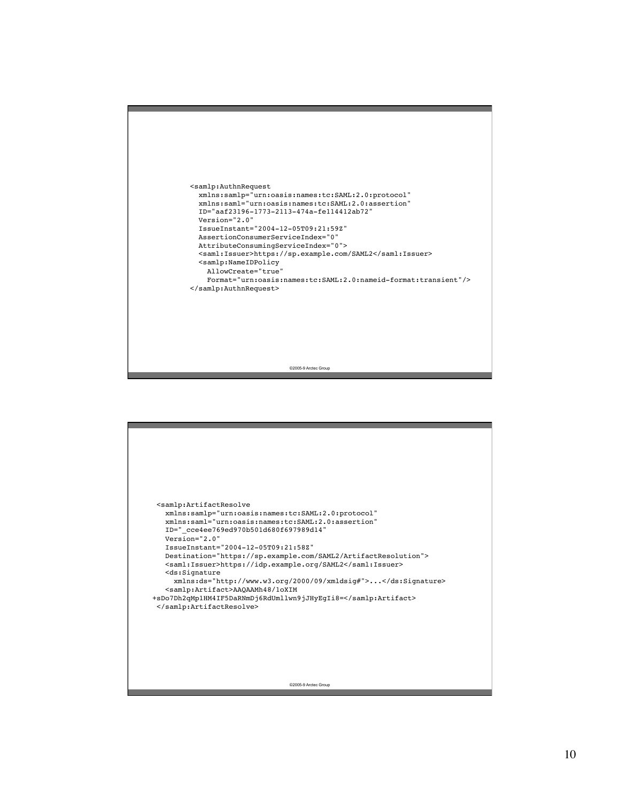

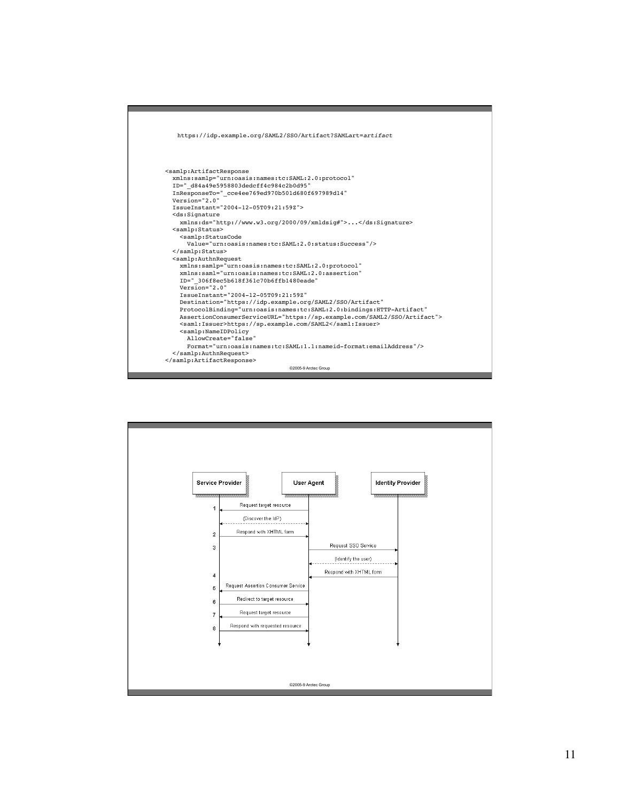

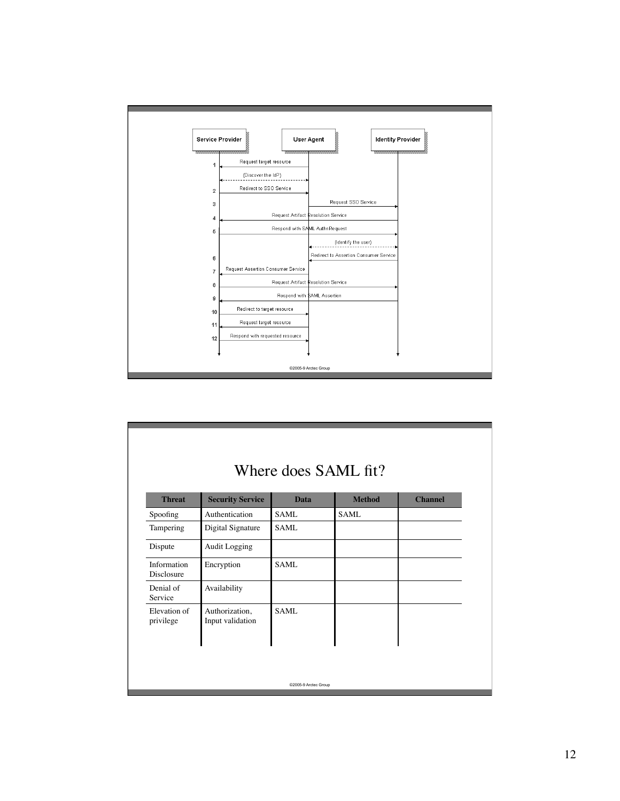

| Where does SAML fit?      |                                    |             |               |                |
|---------------------------|------------------------------------|-------------|---------------|----------------|
| <b>Threat</b>             | <b>Security Service</b>            | <b>Data</b> | <b>Method</b> | <b>Channel</b> |
| Spoofing                  | Authentication                     | <b>SAML</b> | <b>SAML</b>   |                |
| Tampering                 | Digital Signature                  | SAML        |               |                |
| Dispute                   | Audit Logging                      |             |               |                |
| Information<br>Disclosure | Encryption                         | SAML        |               |                |
| Denial of<br>Service      | Availability                       |             |               |                |
| Elevation of<br>privilege | Authorization,<br>Input validation | <b>SAML</b> |               |                |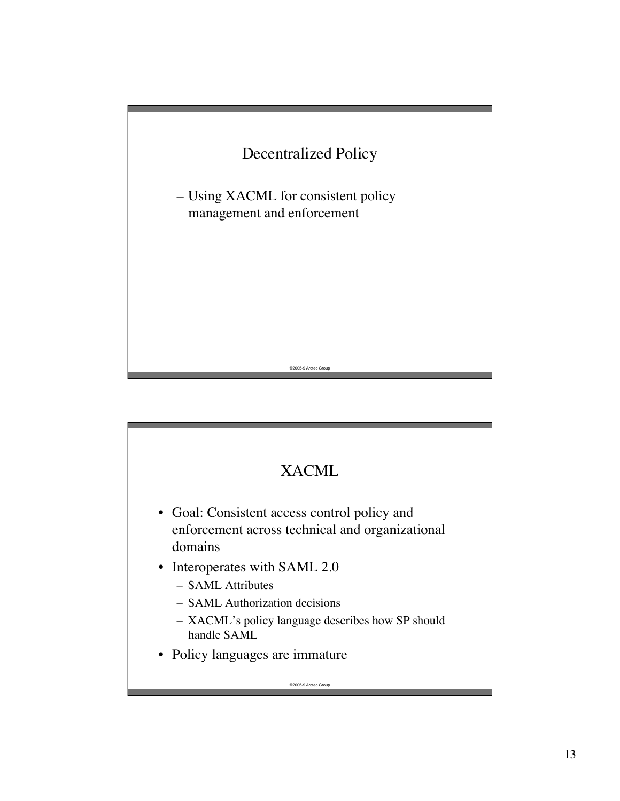

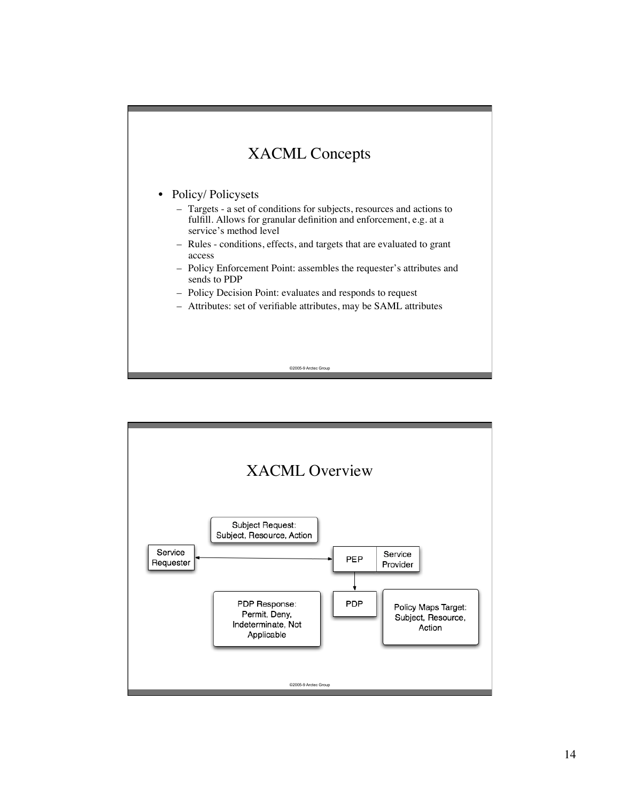

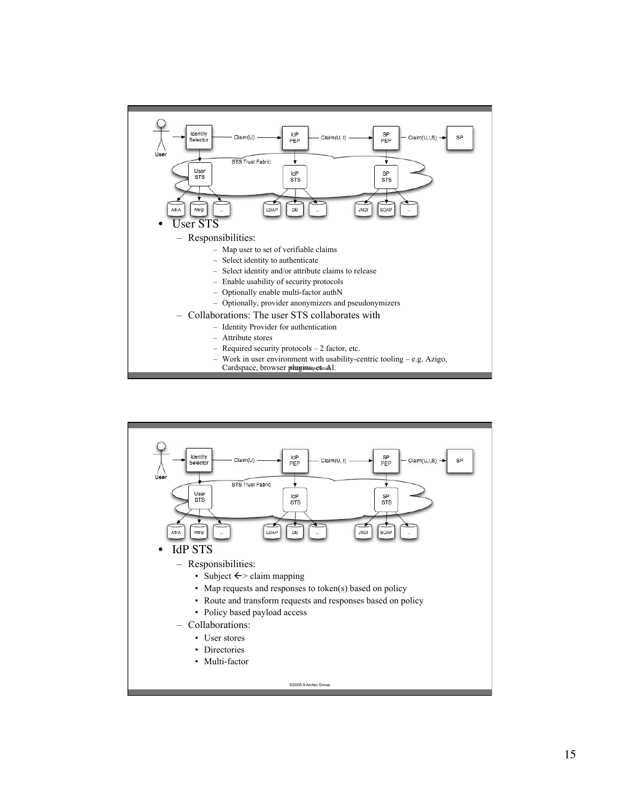